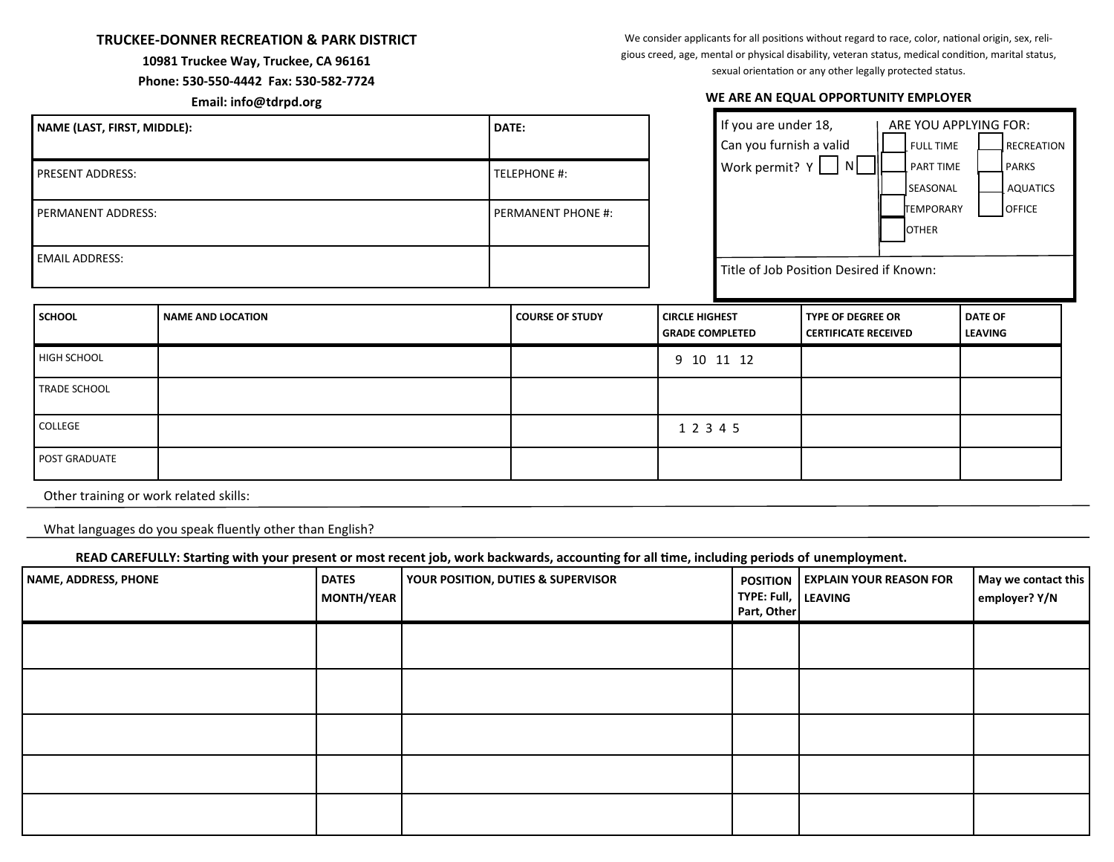## **TRUCKEE-DONNER RECREATION & PARK DISTRICT**

## **10981 Truckee Way, Truckee, CA 96161**

## **Phone: 530-550-4442 Fax: 530-582-7724**

**Email: info@tdrpd.org**

We consider applicants for all positions without regard to race, color, national origin, sex, religious creed, age, mental or physical disability, veteran status, medical condition, marital status, sexual orientation or any other legally protected status.

## **WE ARE AN EQUAL OPPORTUNITY EMPLOYER**

| NAME (LAST, FIRST, MIDDLE): | DATE:              |
|-----------------------------|--------------------|
| PRESENT ADDRESS:            | TELEPHONE #:       |
| PERMANENT ADDRESS:          | PERMANENT PHONE #: |
| <b>EMAIL ADDRESS:</b>       |                    |

| If you are under 18,                    | ARE YOU APPLYING FOR: |                   |
|-----------------------------------------|-----------------------|-------------------|
| Can you furnish a valid                 | <b>FULL TIME</b>      | <b>RECREATION</b> |
| Work permit? $Y$<br>N                   | <b>PART TIME</b>      | <b>PARKS</b>      |
|                                         | SEASONAL              | <b>AQUATICS</b>   |
|                                         | <b>TEMPORARY</b>      | <b>OFFICE</b>     |
|                                         | <b>OTHER</b>          |                   |
|                                         |                       |                   |
| Title of Job Position Desired if Known: |                       |                   |
|                                         |                       |                   |

| <b>SCHOOL</b>        | NAME AND LOCATION | <b>COURSE OF STUDY</b> | <b>CIRCLE HIGHEST</b><br><b>GRADE COMPLETED</b> | <b>TYPE OF DEGREE OR</b><br>  CERTIFICATE RECEIVED | <b>DATE OF</b><br><b>LEAVING</b> |
|----------------------|-------------------|------------------------|-------------------------------------------------|----------------------------------------------------|----------------------------------|
| <b>HIGH SCHOOL</b>   |                   |                        | 9 10 11 12                                      |                                                    |                                  |
| <b>TRADE SCHOOL</b>  |                   |                        |                                                 |                                                    |                                  |
| <b>COLLEGE</b>       |                   |                        | 1 2 3 4 5                                       |                                                    |                                  |
| <b>POST GRADUATE</b> |                   |                        |                                                 |                                                    |                                  |

Other training or work related skills:

What languages do you speak fluently other than English?

**READ CAREFULLY: Starting with your present or most recent job, work backwards, accounting for all time, including periods of unemployment.**

| NAME, ADDRESS, PHONE | <b>DATES</b><br>MONTH/YEAR | YOUR POSITION, DUTIES & SUPERVISOR | TYPE: Full, LEAVING<br>Part, Other | <b>POSITION   EXPLAIN YOUR REASON FOR</b> | May we contact this<br>employer? Y/N |
|----------------------|----------------------------|------------------------------------|------------------------------------|-------------------------------------------|--------------------------------------|
|                      |                            |                                    |                                    |                                           |                                      |
|                      |                            |                                    |                                    |                                           |                                      |
|                      |                            |                                    |                                    |                                           |                                      |
|                      |                            |                                    |                                    |                                           |                                      |
|                      |                            |                                    |                                    |                                           |                                      |